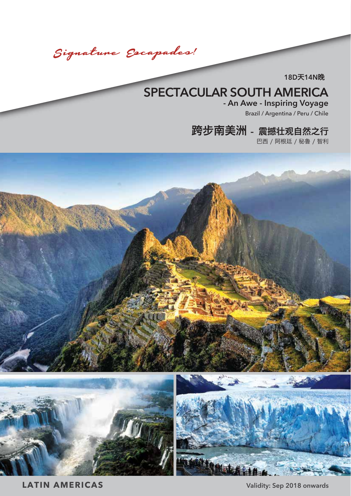Signature Escapades!

**18D**天**14N**晚

# **SPECTACULAR SOUTH AMERICA**

**- An Awe - Inspiring Voyage** Brazil / Argentina / Peru / Chile

## 跨步南美洲 - 震撼壮观自然之行

巴西 / 阿根廷 / 秘鲁 / 智利



**LATIN AMERICAS Validity: Sep 2018 onwards**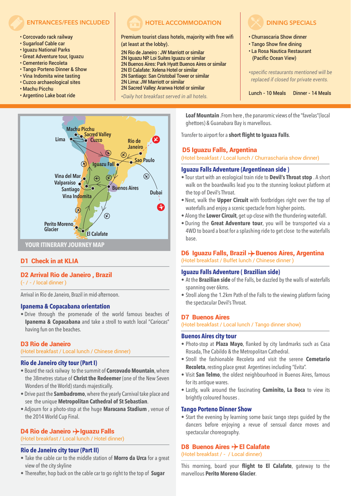- Corcovado rack railway
- Sugarloaf Cable car
- Iguazu National Parks
- Great Adventure tour, Iguazu
- Cementerio Recoleta
- Tango Porteno Dinner & Show
- Vina Indomita wine tasting
- Cuzco archaeological sites
- Machu Picchu
- Argentino Lake boat ride

## **ENTRANCES/FEES INCLUDED HOTEL ACCOMMODATION**

## Premium tourist class hotels, majority with free wifi (at least at the lobby).

2N Rio de Janeiro : JW Marriott or similar 2N Iguazu NP: Loi Suites Iguazu or similar 2N Buenos Aires: Park Hyatt Buenos Aires or similar 2N El Calafate: Xelena Hotel or similar 2N Santiago: San Cristobal Tower or similar 2N Lima: JW Marriott or similar 2N Sacred Valley: Aranwa Hotel or similar

*\*Daily hot breakfast served in all hotels.*



## D1 Check in at KLIA

## D2 Arrival Rio de Janeiro , Brazil

(- / - / local dinner )

Arrival in Rio de Janeiro, Brazil in mid-afternoon.

## **Ipanema & Copacabana orientation**

• Drive through the promenade of the world famous beaches of **Ipanema & Copacabana** and take a stroll to watch local "Cariocas" having fun on the beaches.

## D3 Rio de Janeiro

(Hotel breakfast / Local lunch / Chinese dinner)

## **Rio de Janeiro city tour (Part I)**

- Board the rack railway to the summit of **Corcovado Mountain**, where the 38metres statue of **Christ the Redeemer** (one of the New Seven Wonders of the World) stands majestically.
- Drive past the **Sambadromo**, where the yearly Carnival take place and see the unique **Metropolitan Cathedral of St Sebastian**.
- Adjourn for a photo-stop at the huge **Maracana Stadium** , venue of the 2014 World Cup Final.

## D4 Rio de Janeiro  $\rightarrow$  Iguazu Falls

## (Hotel breakfast / Local lunch / Hotel dinner)

## **Rio de Janeiro city tour (Part II)**

- Take the cable car to the middle station of **Morro da Urca** for a great view of the city skyline
- Thereafter, hop back on the cable car to go right to the top of **Sugar**



- Churrascaria Show dinner
- Tango Show fine dining
- La Rosa Nautica Restaurant (Pacific Ocean View)

*\*specific restaurants mentioned will be replaced if closed for private events.*

Lunch - 10 Meals Dinner - 14 Meals

**Loaf Mountain** .From here , the panaromic views of the "favelas"(local ghettoes) & Guanabara Bay is marvellous.

Transfer to airport for a **short flight to Iguaza Falls**.

## D5 Iguazu Falls, Argentina

(Hotel breakfast / Local lunch / Churrascharia show dinner)

#### **Iguazu Falls Adventure (Argentinean side )**

- Tour start with an ecological train ride to **Devil's Throat stop** . A short walk on the boardwalks lead you to the stunning lookout platform at the top of Devil's Throat.
- Next, walk the **Upper Circuit** with footbridges right over the top of waterfalls and enjoy a scenic spectacle from higher points.
- Along the **Lower Circuit**, get up-close with the thundering waterfall.
- During the **Great Adventure tour**, you will be transported via a 4WD to board a boat for a splashing ride to get close to the waterfalls base.

## D6 Iguazu Falls, Brazil  $\rightarrow$  Buenos Aires, Argentina (Hotel breakfast / Buffet lunch / Chinese dinner )

## **Iguazu Falls Adventure ( Brazilian side)**

- At the **Brazilian side** of the Falls, be dazzled by the walls of waterfalls spanning over 6kms.
- Stroll along the 1.2km Path of the Falls to the viewing platform facing the spectacular Devil's Throat.

## D7 Buenos Aires

(Hotel breakfast / Local lunch / Tango dinner show)

#### **Buenos Aires city tour**

- Photo-stop at **Plaza Mayo**, flanked by city landmarks such as Casa Rosada, The Cabildo & the Metropolitan Cathedral.
- Stroll the fashionable Recoleta and visit the serene **Cemetario Recoleta**, resting place great Argentines including "Evita".
- Visit **San Telmo**, the oldest neighbourhood in Buenos Aires, famous for its antique wares.
- Lastly, walk around the fascinating **Caminito, La Boca** to view its brightly coloured houses .

## **Tango Porteno Dinner Show**

• Start the evening by learning some basic tango steps guided by the dancers before enjoying a revue of sensual dance moves and spectacular choreography.

## D8 Buenos Aires  $\rightarrow$  El Calafate

(Hotel breakfast / - / Local dinner)

This morning, board your **flight to El Calafate**, gateway to the marvellous **Perito Moreno Glacier**.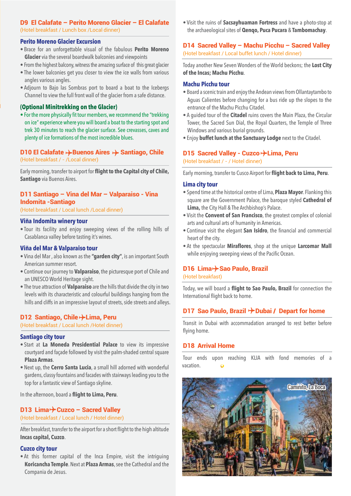## D9 El Calafate – Perito Moreno Glacier – El Calafate (Hotel breakfast / Lunch box /Local dinner)

## **Perito Moreno Glacier Excursion**

- Brace for an unforgettable visual of the fabulous **Perito Moreno Glacier** via the several boardwalk balconies and viewpoints
- From the highest balcony, witness the amazing surface of this great glacier
- The lower balconies get you closer to view the ice walls from various angles various angles.
- Adjourn to Bajo las Sombras port to board a boat to the Icebergs Channel to view the full front wall of the glacier from a safe distance.

## **(Optional Minitrekking on the Glacier)**

• For the more physically fit tour members, we recommend the "trekking on ice" experience where you will board a boat to the starting spot and trek 30 minutes to reach the glacier surface. See crevasses, caves and plenty of ice formations of the most incredible blues.

## D10 El Calafate  $\rightarrow$  Buenos Aires  $\rightarrow$  Santiago, Chile (Hotel breakfast / - /Local dinner)

Early morning, transfer to airport for **flight to the Capital city of Chile, Santiago** via Buenos Aires.

## D11 Santiago – Vina del Mar – Valparaiso - Vina Indomita -Santiago

(Hotel breakfast / Local lunch /Local dinner)

## **Viña Indomita winery tour**

• Tour its facility and enjoy sweeping views of the rolling hills of Casablanca valley before tasting it's wines.

## **Viña del Mar & Valparaiso tour**

- Vina del Mar , also known as the **"garden city"**, is an important South American summer resort.
- Continue our journey to **Valparaiso**, the picturesque port of Chile and an UNESCO World Heritage sight.
- The true attraction of **Valparaiso** are the hills that divide the city in two levels with its characteristic and colourful buildings hanging from the hills and cliffs in an impressive layout of streets, side streets and alleys.

## D12 Santiago, Chile +> Lima, Peru

(Hotel breakfast / Local lunch /Hotel dinner)

## **Santiago city tour**

- Start at **La Moneda Presidential Palace** to view its impressive courtyard and façade followed by visit the palm-shaded central square **Plaza Armas**.
- Next up, the **Cerro Santa Lucia**, a small hill adorned with wonderful gardens, classy fountains and facades with stairways leading you to the top for a fantastic view of Santiago skyline.

In the afternoon, board a **flight to Lima, Peru**.

## D13 Lima $\rightarrow$  Cuzco – Sacred Valley

(Hotel breakfast / Local lunch / Hotel dinner)

After breakfast, transfer to the airport for a short flight to the high altitude **Incas capital, Cuzco**.

## **Cuzco city tour**

• At this former capital of the Inca Empire, visit the intriguing **Koricancha Temple**. Next at **Plaza Armas**, see the Cathedral and the Compania de Jesus.

• Visit the ruins of **Sacsayhuaman Fortress** and have a photo-stop at the archaeological sites of **Qenqo, Puca Pucara** & **Tambomachay**.

## D14 Sacred Valley – Machu Picchu – Sacred Valley (Hotel breakfast / Local buffet lunch / Hotel dinner)

Today another New Seven Wonders of the World beckons; the **Lost City of the Incas; Machu Picchu**.

## **Machu Picchu tour**

- Board a scenic train and enjoy the Andean views from Ollantaytambo to Aguas Calientes before changing for a bus ride up the slopes to the entrance of the Machu Picchu Citadel.
- A guided tour of the **Citadel** ruins covers the Main Plaza, the Circular Tower, the Sacred Sun Dial, the Royal Quarters, the Temple of Three Windows and various burial grounds.
- Enjoy **buffet lunch at the Sanctuary Lodge** next to the Citadel.

## D15 Sacred Valley - Cuzco + Lima, Peru

(Hotel breakfast / - / Hotel dinner)

Early morning, transfer to Cusco Airport for **flight back to Lima, Peru**.

## **Lima city tour**

- Spend time at the historical centre of Lima, **Plaza Mayor**. Flanking this square are the Government Palace, the baroque styled **Cathedral of Lima,** the City Hall & The Archbishop's Palace.
- Visit the **Convent of San Francisco**, the greatest complex of colonial arts and cultural arts of humanity in Americas.
- Continue visit the elegant **San Isidro**, the financial and commercial heart of the city.
- At the spectacular **Miraflores**, shop at the unique **Larcomar Mall** while enjoying sweeping views of the Pacific Ocean.

## D16 Lima> Sao Paulo, Brazil

(Hotel breakfast)

Today, we will board a **flight to Sao Paulo, Brazil** for connection the International flight back to home.

## D17 Sao Paulo, Brazil  $\neg$  Dubai / Depart for home

Transit in Dubai with accommadation arranged to rest better before flying home.

## D18 Arrival Home

Tour ends upon reaching KLIA with fond memories of a vacation.

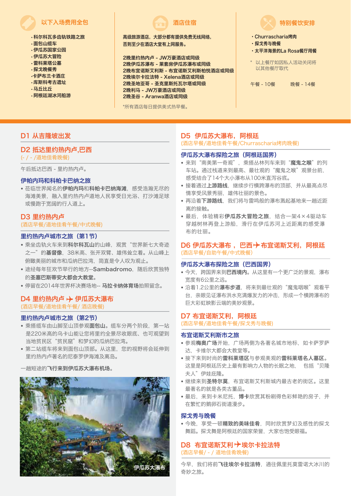## 以下入场费用全包 酒店住宿

- 科尔科瓦多齿轨铁路之旅
- 面包山缆车
- 伊瓜苏国家公园
- 伊瓜苏大冒险
- 雷科莱塔公墓
- 探戈晚餐秀
- •卡萨布兰卡酒庄
- 库斯科考古遗址
- 马丘比丘
- 阿根廷湖冰河船游

高级旅游酒店,大部分都有提供免费无线网络, 否则至少在酒店大堂有上网服务。

2晚里约热内卢 - JW万豪酒店或同级 2晚伊瓜苏瀑布 - 莱套房伊瓜苏瀑布或同级 2晚布宜诺斯艾利斯 - 布宜诺斯艾利斯柏悦酒店或同级 2晚埃尔卡拉法特 - Xelena酒店或同级 2晚圣地亚哥 - 圣克里斯托瓦尔塔或同级 2晚利马 - JW万豪酒店或同级 2晚圣谷 - Aranwa酒店或同级

\*所有酒店每日提供美式热早餐。

特别餐饮安排

- ·Churrascharia烤肉
- ·探戈秀与晚餐
- ·太平洋海景的La Rosa餐厅用餐
- \* 以上餐厅如因私人活动关闭将 以其他餐厅取代

午餐 - 10餐 晚餐 - 14餐

## D1 从吉隆坡出发

## D2 抵达里约热内卢,巴西

(- / - /道地佳肴晚餐)

午后抵达巴西 - 里约热内卢。

## 伊帕内玛和科帕卡巴纳之旅

• 莅临世界闻名的伊帕内玛和科帕卡巴纳海滩, 感受浩瀚无尽的 海滩美景,融入里约热内卢道地人民享受日光浴、打沙滩足球 或慢跑于宽阔的行人道上。

## D3 里约热内卢

(酒店早餐/道地佳肴午餐/中式晚餐)

## 里约热内卢城市之旅(第1节)

- 乘坐齿轨火车来到**科尔科瓦山**的山峰, 观赏"世界新七大奇迹 之一"的基督像,38米高、张开双臂、雄伟耸立着。从山峰上 俯瞰美丽的城市和瓜纳巴拉湾,简直是令人叹为观止。
- 途经每年狂欢节举行的地方--Sambadromo, 随后欣赏独特 的圣塞巴斯蒂安大都会大教堂。
- 停留在2014年世界杯决赛场地-- 马拉卡纳体育场拍照留念。

## D4 里约热内卢 + 伊瓜苏大瀑布 (酒店早餐/道地佳肴午餐/ 酒店晚餐)

## 里约热内卢城市之旅(第2节)

- 乘搭缆车由山脚至山顶参观面包山。缆车分两个阶段, 第一站 是220米高的乌卡山能让您将里约全景尽收眼底、也可观望到 当地贫民区"贫民窟"和梦幻的瓜纳巴拉湾。
- 第二站缆车将来到面包山顶部。从这里,您的视野将会延伸到 里约热内卢著名的尼泰罗伊海滩及离岛。

## 一趟短途的飞行来到伊瓜苏大瀑布机场。



## D5 伊瓜苏大瀑布,阿根廷

(酒店早餐/道地佳肴午餐/Churrascharia烤肉晚餐)

## 伊瓜苏大瀑布探险之旅(阿根廷国界)

- 来到"南美第一奇观", 乘搭丛林列车来到"魔鬼之喉"的列 车站。通过栈道来到最高、最壮观的"魔鬼之喉"观景台前, 感受结合了14个大小瀑布从100米直泻谷底。
- 接着通过上游路线, 继续步行横跨瀑布的顶部, 并从最高点尽 情享受风景秀丽,雄伟壮丽的景色。
- 再沿着下游路线, 我们将与雷鸣般的瀑布溅起基地来一趟近距 离的接触。
- 最后, 体验精彩伊瓜苏大冒险之旅, 结合一架4×4驱动车 穿越树林再登上游船,滑行在伊瓜苏河上近距离的感受瀑 布的壮丽。

## D6 伊瓜苏大瀑布, 巴西 → 布宜诺斯艾利, 阿根廷 (酒店早餐/自助午餐/中式晚餐)

## 伊瓜苏大瀑布探险之旅(巴西国界)

- 今天, 跨国界来到巴西境内。从这里有一个更广泛的景观, 瀑布 宽度有6公里之远。
- 沿着1.2公里的瀑布步道, 将来到最壮观的"魔鬼咽喉"观看平 台,亲眼见证瀑布洪水充满爆发力的冲击,形成一个横跨瀑布的 巨大彩虹映影云端的美妙观景。

## D7 布宜诺斯艾利, 阿根廷

(酒店早餐/道地佳肴午餐/探戈秀与晚餐)

## 布宜诺斯艾利斯市之旅

- 参观梅奥广场开始, 广场两侧为各著名城市地标, 如卡萨罗萨 达,卡维尔大都会大教堂等。
- 接下来到时尚的雷科莱塔区与参观美观的雷科莱塔名人墓区。 这里是阿根廷历史上最有影响力人物的长眠之地, 包括"贝隆 夫人"伊娃庇隆。
- •继续来到圣特尔莫,布宜诺斯艾利斯城内最古老的街区。这里 最著名的就是各类古董品。
- 最后, 来到卡米尼托, 博卡欣赏其粉刷得色彩鲜艳的房子, 并 在繁忙的鹅卵石街道漫步。

## 探戈秀与晚餐

• 今晚, 享受一顿精致的美味佳肴, 同时欣赏梦幻及感性的探戈 舞蹈。探戈舞是阿根廷的国家荣誉,大家也饱受眼福。

## D8 布宜诺斯艾利 \* 埃尔卡拉法特 (酒店早餐/ - / 道地佳肴晚餐)

今早,我们将前飞往埃尔卡拉法特,通往佩里托莫雷诺大冰川的 奇妙之旅。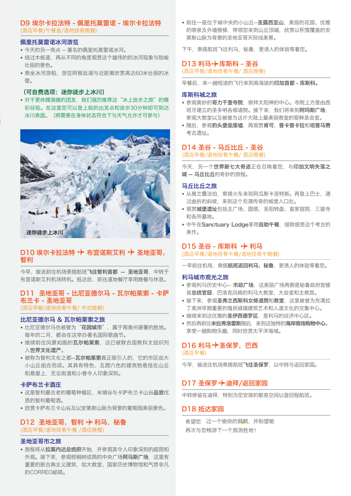## D9 埃尔卡拉法特 - 佩里托莫雷诺 - 埃尔卡拉法特 (酒店早餐/午餐盒/道地佳肴晚餐)

## 佩里托莫雷诺冰河游览

- 今天的另一亮点 -- 著名的佩里托莫雷诺冰河。
- 绕过木板道,再从不同的角度观赏这个雄伟的的冰河现象与险峻 壮丽的景色。
- 乘坐冰河游船,游览阿根廷湖与近距离欣赏高达60米壮丽的冰 壁。

#### (可自费选项:迷你徒步上冰川)

• 对于更体魄强健的团友, 我们强烈推荐这"冰上徒步之旅"的精 彩经验。在这里您可以登上船的出发点和徒步30分钟即可到达 冰川表面。(將需要在身体状态符合下与天气允许才可参与)



## D10 埃尔卡拉法特  $\rightarrow$  布宜诺斯艾利  $\rightarrow$  圣地亚哥, 智利

今早,接送前往机场乘搭航班飞往智利首都 -- 圣地亚哥, 中转于 布宜诺斯艾利机场转机。抵达后,前往道地餐厅享用晚餐与休息。

## D11 圣地亚哥 - 比尼亚德尔马 - 瓦尔帕莱索 - 卡萨 布兰卡 - 圣地亚哥

(酒店早餐/道地佳肴午餐/ 中式晚餐)

## 比尼亚德尔马 & 瓦尔帕莱索之旅

- 比尼亚德尔马也被誉为"**花园城市**", 属于南美州避暑的胜地。 每年的二月,都会在这举办著名国际歌曲节。
- •继续前往风景如画的瓦尔帕莱索,这已被联合国教科文组织列 入世界文化遗产。
- 被称为智利文化之都--**瓦尔帕莱索**真正吸引人的, 它的市区由大 小山丘組合而成。其具有特色、五颜六色的建筑物悬挂在山丘 和悬崖上,无论街道和小巷令人印象深刻。

## 卡萨布兰卡酒庄

- 这是智利最古老的葡萄种植区, 米埔谷与卡萨布兰卡山谷品尝优 质的智利葡萄酒。
- 欣赏卡萨布兰卡山谷及以安第斯山脉为背景的葡萄园美丽景色。

## D12 圣地亚哥, 智利  $\rightarrow$  利马, 秘鲁 (酒店早餐/道地佳肴午餐 /酒店晚餐)

## 圣地亚哥市之旅

• 旅程将从拉莫内达总统府开始, 并参观其令人印象深刻的庭院和 外观。接下來,参观棕榈树成荫的中央广场阿马斯广场,这里有 重要的新古典主义建筑,如大教堂、国家历史博物馆和气势非凡 的CORREO邮局。

• 前往一座位于城中央的小山丘--圣露西亚山,美丽的花园、优雅 的喷泉及外墙楼梯,带领您来到山丘顶端,欣赏以积雪覆盖的安 第斯山脉为背景的圣地亚哥天际线美景。

下午, 乘搭航班飞往利马, 秘鲁, 更诱人的体验等着您。

## $D13$  利马 $\rightarrow$  库斯科 - 圣谷 (酒店早餐/道地佳肴午餐/ 酒店晚餐)

早餐后,来一趟短途的飞行来到高海拔的印加首都 - 库斯科。

#### 库斯科城之旅

- 参观奥妙的哥力于查寺院, 崇拜太阳神的中心。寺院上方是中西 班牙建立的圣多明各修道院。接下来, 我们将来到阿玛斯广场, 参观大教堂以及被誉为这片大陆上最美丽教堂的耶稣圣会堂。
- 随后, 参观豹头堡垒废墟, 再观赏肯可、普卡普卡拉和坦普马赛 考古遗址。

## D14 圣谷 - 马丘比丘 - 圣谷

(酒店早餐/道地佳肴午餐/ 酒店晚餐)

今天,另一个世界新七大奇迹正在召唤着您,与印加文明失落之 城 -- 马丘比丘的奇妙的旅程。

#### 马丘比丘之旅

- 从奥兰叠淡伯, 乘搭火车来到阿瓜斯卡连特斯。再登上巴士, 通 过曲折的斜坡,来到这个充满传奇的城堡入口处。
- 观赏**城堡遗址**包括主广场、圆塔、圣阳转盘、皇家宿院, 三窗寺 和各所墓地。
- 中午在Sanctuary Lodge享用自助午餐, 细致感受这个考古的 美作。

## $D15$  圣谷 - 库斯科  $\rightarrow$  利马

(酒店早餐/道地佳肴午餐/道地佳肴午晚餐)

一早前往机场,乘搭**航班返回利马,秘鲁**,更诱人的体验等着您。

#### 利马城市观光之旅

- 参观利马历史中心-- 市政广场,这美丽广场两侧是秘鲁政府宫楼 皆总统官邸、巴洛克风格的利马大教堂、大会堂和主教宫。
- 接下来, 参观圣弗兰西斯科女修道院和教堂, 这里被誉为充满拉 丁美洲早期重要的殖民城镇建筑艺术和人道文化的交集中心。
- •继续来到这优雅的圣伊西德罗区,是利马的经济中心区。
- 然后再前往米拉弗洛雷斯随后, 来到这独特的海岸商场购物中心。 享受一趟购物乐趣,同时欣赏太平洋海域。

## D16 利马· ★ 圣保罗, 巴西

(酒店早餐)

今早,接送往机场乘搭航班飞往圣保罗,以中转与返回家园。

## D17 圣保罗 → 迪拜/返回家园

中转停留在迪拜,特别为您安排的歇息空间以登回程航班。

## D18 抵达家园

希望您 过一个愉快的假期,并盼望能 再次与您畅游下一个旅游胜地!